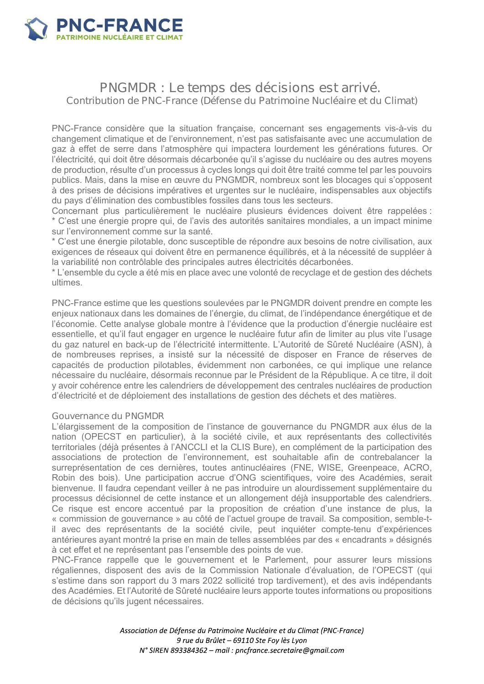

# PNGMDR : Le temps des décisions est arrivé. Contribution de PNC-France (Défense du Patrimoine Nucléaire et du Climat)

PNC-France considère que la situation française, concernant ses engagements vis-à-vis du changement climatique et de l'environnement, n'est pas satisfaisante avec une accumulation de gaz à effet de serre dans l'atmosphère qui impactera lourdement les générations futures. Or l'électricité, qui doit être désormais décarbonée qu'il s'agisse du nucléaire ou des autres movens de production, résulte d'un processus à cycles longs qui doit être traité comme tel par les pouvoirs publics. Mais, dans la mise en œuvre du PNGMDR, nombreux sont les blocages qui s'opposent à des prises de décisions impératives et urgentes sur le nucléaire, indispensables aux objectifs du pays d'élimination des combustibles fossiles dans tous les secteurs.

Concernant plus particulièrement le nucléaire plusieurs évidences doivent être rappelées : \* C'est une énergie propre qui, de l'avis des autorités sanitaires mondiales, a un impact minime sur l'environnement comme sur la santé.

\* C'est une énergie pilotable, donc susceptible de répondre aux besoins de notre civilisation, aux exigences de réseaux qui doivent être en permanence équilibrés, et à la nécessité de suppléer à la variabilité non contrôlable des principales autres électricités décarbonées.

\*L'ensemble du cycle a été mis en place ayec une volonté de recyclage et de gestion des déchets ultimes

PNC-France estime que les questions soulevées par le PNGMDR doivent prendre en compte les enjeux nationaux dans les domaines de l'énergie, du climat, de l'indépendance énergétique et de l'économie. Cette analyse globale montre à l'évidence que la production d'énergie nucléaire est essentielle, et qu'il faut engager en urgence le nucléaire futur afin de limiter au plus vite l'usage du gaz naturel en back-up de l'électricité intermittente. L'Autorité de Sûreté Nucléaire (ASN), à de nombreuses reprises, a insisté sur la nécessité de disposer en France de réserves de capacités de production pilotables, évidemment non carbonées, ce qui implique une relance nécessaire du nucléaire, désormais reconnue par le Président de la République. A ce titre, il doit y avoir cohérence entre les calendriers de développement des centrales nucléaires de production d'électricité et de déploiement des installations de gestion des déchets et des matières.

#### Gouvernance du PNGMDR

L'élargissement de la composition de l'instance de gouvernance du PNGMDR aux élus de la nation (OPECST en particulier), à la société civile, et aux représentants des collectivités territoriales (déjà présentes à l'ANCCLI et la CLIS Bure), en complément de la participation des associations de protection de l'environnement, est souhaitable afin de contrebalancer la surreprésentation de ces dernières, toutes antinucléaires (FNE, WISE, Greenpeace, ACRO, Robin des bois). Une participation accrue d'ONG scientifiques, voire des Académies, serait bienvenue. Il faudra cependant veiller à ne pas introduire un alourdissement supplémentaire du processus décisionnel de cette instance et un allongement déjà insupportable des calendriers. Ce risque est encore accentué par la proposition de création d'une instance de plus, la « commission de gouvernance » au côté de l'actuel groupe de travail. Sa composition, semble-til avec des représentants de la société civile, peut inquiéter compte-tenu d'expériences antérieures ayant montré la prise en main de telles assemblées par des « encadrants » désignés à cet effet et ne représentant pas l'ensemble des points de vue.

PNC-France rappelle que le gouvernement et le Parlement, pour assurer leurs missions régaliennes, disposent des avis de la Commission Nationale d'évaluation, de l'OPECST (qui s'estime dans son rapport du 3 mars 2022 sollicité trop tardivement), et des avis indépendants des Académies. Et l'Autorité de Sûreté nucléaire leurs apporte toutes informations ou propositions de décisions qu'ils jugent nécessaires.

> Association de Défense du Patrimoine Nucléaire et du Climat (PNC-France) 9 rue du Brûlet - 69110 Ste Foy lès Lyon N° SIREN 893384362 - mail : pncfrance.secretaire@gmail.com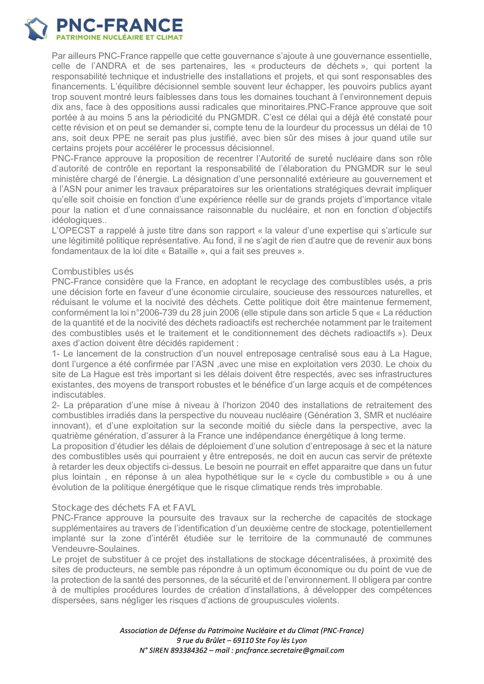

Par ailleurs PNC-France rappelle que cette gouvernance s'ajoute à une gouvernance essentielle, celle de l'ANDRA et de ses partenaires, les « producteurs de déchets », qui portent la responsabilité technique et industrielle des installations et projets, et qui sont responsables des financements. L'équilibre décisionnel semble souvent leur échapper, les pouvoirs publics avant trop souvent montré leurs faiblesses dans tous les domaines touchant à l'environnement depuis dix ans, face à des oppositions aussi radicales que minoritaires. PNC-France approuve que soit portée à au moins 5 ans la périodicité du PNGMDR. C'est ce délai qui a déjà été constaté pour cette révision et on peut se demander si, compte tenu de la lourdeur du processus un délai de 10 ans. soit deux PPE ne serait pas plus justifié, avec bien sûr des mises à jour quand utile sur certains projets pour accélérer le processus décisionnel.

PNC-France approuve la proposition de recentrer l'Autorité de sureté nucléaire dans son rôle d'autorité de contrôle en reportant la responsabilité de l'élaboration du PNGMDR sur le seul ministère chargé de l'énergie. La désignation d'une personnalité extérieure au gouvernement et à l'ASN pour animer les travaux préparatoires sur les orientations stratégiques devrait impliquer qu'elle soit choisie en fonction d'une expérience réelle sur de grands projets d'importance vitale pour la nation et d'une connaissance raisonnable du nucléaire, et non en fonction d'objectifs idéologiques..

L'OPECST a rappelé à juste titre dans son rapport « la valeur d'une expertise qui s'articule sur une légitimité politique représentative. Au fond, il ne s'agit de rien d'autre que de revenir aux bons fondamentaux de la loi dite « Bataille », qui a fait ses preuves ».

## Combustibles usés

PNC-France considère que la France, en adoptant le recyclage des combustibles usés, a pris une décision forte en faveur d'une économie circulaire, soucieuse des ressources naturelles, et réduisant le volume et la nocivité des déchets. Cette politique doit être maintenue fermement, conformément la loi n°2006-739 du 28 juin 2006 (elle stipule dans son article 5 que « La réduction de la quantité et de la nocivité des déchets radioactifs est recherchée notamment par le traitement des combustibles usés et le traitement et le conditionnement des déchets radioactifs »). Deux axes d'action doivent être décidés rapidement :

1- Le lancement de la construction d'un nouvel entreposage centralisé sous eau à La Hague, dont l'urgence a été confirmée par l'ASN, avec une mise en exploitation vers 2030. Le choix du site de La Hague est très important si les délais doivent être respectés, avec ses infrastructures existantes, des moyens de transport robustes et le bénéfice d'un large acquis et de compétences indiscutables.

2- La préparation d'une mise à niveau à l'horizon 2040 des installations de retraitement des combustibles irradiés dans la perspective du nouveau nucléaire (Génération 3, SMR et nucléaire innovant), et d'une exploitation sur la seconde moitié du siècle dans la perspective, avec la quatrième génération, d'assurer à la France une indépendance énergétique à long terme.

La proposition d'étudier les délais de déploiement d'une solution d'entreposage à sec et la nature des combustibles usés qui pourraient y être entreposés, ne doit en aucun cas servir de prétexte à retarder les deux objectifs ci-dessus. Le besoin ne pourrait en effet apparaitre que dans un futur plus lointain, en réponse à un alea hypothétique sur le « cycle du combustible » ou à une évolution de la politique énergétique que le risque climatique rends très improbable.

#### Stockage des déchets FA et FAVL

PNC-France approuve la poursuite des travaux sur la recherche de capacités de stockage supplémentaires au travers de l'identification d'un deuxième centre de stockage, potentiellement implanté sur la zone d'intérêt étudiée sur le territoire de la communauté de communes Vendeuvre-Soulaines.

Le projet de substituer à ce projet des installations de stockage décentralisées, à proximité des sites de producteurs, ne semble pas répondre à un optimum économique ou du point de vue de la protection de la santé des personnes, de la sécurité et de l'environnement. Il obligera par contre à de multiples procédures lourdes de création d'installations, à développer des compétences dispersées, sans négliger les risques d'actions de groupuscules violents.

> Association de Défense du Patrimoine Nucléaire et du Climat (PNC-France) 9 rue du Brûlet - 69110 Ste Foy lès Lyon N° SIREN 893384362 - mail : pncfrance.secretaire@qmail.com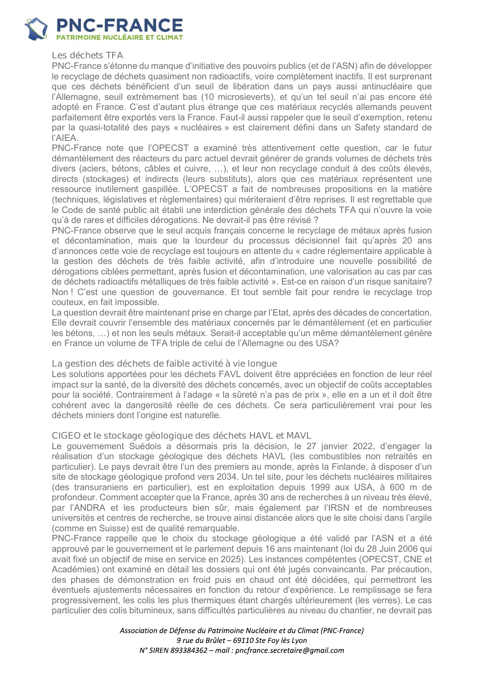

Les déchets TFA

PNC-France s'étonne du manque d'initiative des pouvoirs publics (et de l'ASN) afin de développer le recyclage de déchets quasiment non radioactifs, voire complètement inactifs. Il est surprenant que ces déchets bénéficient d'un seuil de libération dans un pays aussi antinucléaire que l'Allemagne, seuil extrèmement bas (10 microsieverts), et qu'un tel seuil n'ai pas encore été adopté en France. C'est d'autant plus étrange que ces matériaux recyclés allemands peuvent parfaitement être exportés vers la France. Faut-il aussi rappeler que le seuil d'exemption, retenu par la quasi-totalité des pays « nucléaires » est clairement défini dans un Safety standard de l'AIEA.

PNC-France note que l'OPECST a examiné très attentivement cette question, car le futur démantèlement des réacteurs du parc actuel devrait générer de grands volumes de déchets très divers (aciers, bétons, câbles et cuivre, ...), et leur non recyclage conduit à des coûts élevés, directs (stockages) et indirects (leurs substituts), alors que ces matériaux représentent une ressource inutilement gaspillée. L'OPECST a fait de nombreuses propositions en la matière (techniques, législatives et règlementaires) qui mériteraient d'être reprises. Il est regrettable que le Code de santé public ait établi une interdiction générale des déchets TFA qui n'ouvre la voie qu'à de rares et difficiles dérogations. Ne devrait-il pas être révisé ?

PNC-France observe que le seul acquis français concerne le recyclage de métaux après fusion et décontamination, mais que la lourdeur du processus décisionnel fait qu'après 20 ans d'annonces cette voie de recyclage est toujours en attente du « cadre réglementaire applicable à la gestion des déchets de très faible activité, afin d'introduire une nouvelle possibilité de dérogations ciblées permettant, après fusion et décontamination, une valorisation au cas par cas de déchets radioactifs métalliques de très faible activité ». Est-ce en raison d'un risque sanitaire? Non ! C'est une question de gouvernance. Et tout semble fait pour rendre le recyclage trop couteux, en fait impossible.

La question devrait être maintenant prise en charge par l'Etat, après des décades de concertation. Elle devrait couvrir l'ensemble des matériaux concernés par le démantèlement (et en particulier les bétons, ...) et non les seuls métaux. Serait-il acceptable qu'un même démantèlement génère en France un volume de TFA triple de celui de l'Allemagne ou des USA?

#### La gestion des déchets de faible activité à vie longue

Les solutions apportées pour les déchets FAVL doivent être appréciées en fonction de leur réel impact sur la santé, de la diversité des déchets concernés, avec un objectif de coûts acceptables pour la société. Contrairement à l'adage « la sûreté n'a pas de prix », elle en a un et il doit être cohérent avec la dangerosité réelle de ces déchets. Ce sera particulièrement vrai pour les déchets miniers dont l'origine est naturelle.

#### CIGEO et le stockage géologique des déchets HAVL et MAVL

Le gouvernement Suédois a désormais pris la décision, le 27 janvier 2022, d'engager la réalisation d'un stockage géologique des déchets HAVL (les combustibles non retraités en particulier). Le pays devrait être l'un des premiers au monde, après la Finlande, à disposer d'un site de stockage géologique profond vers 2034. Un tel site, pour les déchets nucléaires militaires (des transuraniens en particulier), est en exploitation depuis 1999 aux USA, à 600 m de profondeur. Comment accepter que la France, après 30 ans de recherches à un niveau très élevé, par l'ANDRA et les producteurs bien sûr, mais également par l'IRSN et de nombreuses universités et centres de recherche, se trouve ainsi distancée alors que le site choisi dans l'argile (comme en Suisse) est de qualité remarquable.

PNC-France rappelle que le choix du stockage géologique a été validé par l'ASN et a été approuvé par le gouvernement et le parlement depuis 16 ans maintenant (loi du 28 Juin 2006 qui avait fixé un objectif de mise en service en 2025). Les instances compétentes (OPECST, CNE et Académies) ont examiné en détail les dossiers qui ont été jugés convaincants. Par précaution, des phases de démonstration en froid puis en chaud ont été décidées, qui permettront les éventuels ajustements nécessaires en fonction du retour d'expérience. Le remplissage se fera progressivement, les colis les plus thermiques étant chargés ultérieurement (les verres). Le cas particulier des colis bitumineux, sans difficultés particulières au niveau du chantier, ne devrait pas

> Association de Défense du Patrimoine Nucléaire et du Climat (PNC-France) 9 rue du Brûlet - 69110 Ste Foy lès Lyon N° SIREN 893384362 - mail : pncfrance.secretaire@qmail.com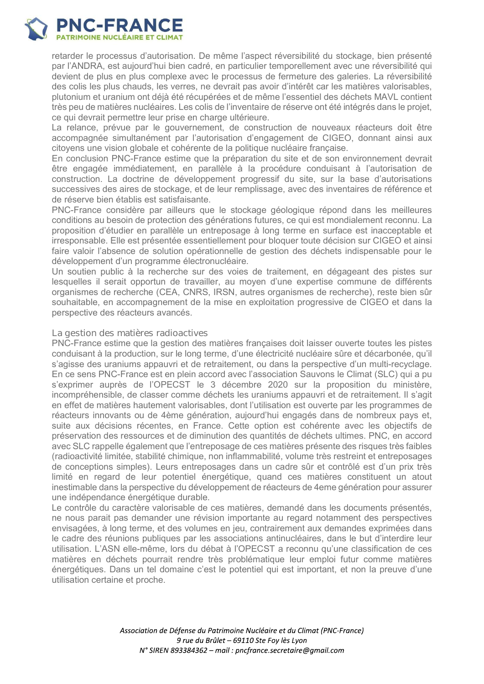

retarder le processus d'autorisation. De même l'aspect réversibilité du stockage, bien présenté par l'ANDRA, est aujourd'hui bien cadré, en particulier temporellement avec une réversibilité qui devient de plus en plus complexe avec le processus de fermeture des galeries. La réversibilité des colis les plus chauds, les verres, ne devrait pas avoir d'intérêt car les matières valorisables. plutonium et uranium ont déjà été récupérées et de même l'essentiel des déchets MAVL contient très peu de matières nucléaires. Les colis de l'inventaire de réserve ont été intégrés dans le projet. ce qui devrait permettre leur prise en charge ultérieure.

La relance, prévue par le gouvernement, de construction de nouveaux réacteurs doit être accompagnée simultanément par l'autorisation d'engagement de CIGEO, donnant ainsi aux citovens une vision globale et cohérente de la politique nucléaire francaise.

En conclusion PNC-France estime que la préparation du site et de son environnement devrait être engagée immédiatement, en parallèle à la procédure conduisant à l'autorisation de construction. La doctrine de développement progressif du site, sur la base d'autorisations successives des aires de stockage, et de leur remplissage, avec des inventaires de référence et de réserve bien établis est satisfaisante.

PNC-France considère par ailleurs que le stockage géologique répond dans les meilleures conditions au besoin de protection des générations futures, ce qui est mondialement reconnu. La proposition d'étudier en parallèle un entreposage à long terme en surface est inacceptable et irresponsable. Elle est présentée essentiellement pour bloquer toute décision sur CIGEO et ainsi faire valoir l'absence de solution opérationnelle de gestion des déchets indispensable pour le développement d'un programme électronucléaire.

Un soutien public à la recherche sur des voies de traitement, en dégageant des pistes sur lesquelles il serait opportun de travailler, au moyen d'une expertise commune de différents organismes de recherche (CEA, CNRS, IRSN, autres organismes de recherche), reste bien sûr souhaitable, en accompagnement de la mise en exploitation progressive de CIGEO et dans la perspective des réacteurs avancés.

#### La gestion des matières radioactives

PNC-France estime que la gestion des matières françaises doit laisser ouverte toutes les pistes conduisant à la production, sur le long terme, d'une électricité nucléaire sûre et décarbonée, qu'il s'agisse des uraniums appauvri et de retraitement, ou dans la perspective d'un multi-recyclage. En ce sens PNC-France est en plein accord avec l'association Sauvons le Climat (SLC) qui a pu s'exprimer auprès de l'OPECST le 3 décembre 2020 sur la proposition du ministère, incompréhensible, de classer comme déchets les uraniums appauvri et de retraitement. Il s'agit en effet de matières hautement valorisables, dont l'utilisation est ouverte par les programmes de réacteurs innovants ou de 4ème génération, aujourd'hui engagés dans de nombreux pays et, suite aux décisions récentes, en France. Cette option est cohérente avec les objectifs de préservation des ressources et de diminution des quantités de déchets ultimes. PNC, en accord avec SLC rappelle également que l'entreposage de ces matières présente des risques très faibles (radioactivité limitée, stabilité chimique, non inflammabilité, volume très restreint et entreposages de conceptions simples). Leurs entreposages dans un cadre sûr et contrôlé est d'un prix très limité en regard de leur potentiel énergétique, quand ces matières constituent un atout inestimable dans la perspective du développement de réacteurs de 4eme génération pour assurer une indépendance énergétique durable.

Le contrôle du caractère valorisable de ces matières, demandé dans les documents présentés, ne nous parait pas demander une révision importante au regard notamment des perspectives envisagées, à long terme, et des volumes en jeu, contrairement aux demandes exprimées dans le cadre des réunions publiques par les associations antinucléaires, dans le but d'interdire leur utilisation. L'ASN elle-même, lors du débat à l'OPECST a reconnu qu'une classification de ces matières en déchets pourrait rendre très problématique leur emploi futur comme matières énergétiques. Dans un tel domaine c'est le potentiel qui est important, et non la preuve d'une utilisation certaine et proche.

> Association de Défense du Patrimoine Nucléaire et du Climat (PNC-France) 9 rue du Brûlet - 69110 Ste Foy lès Lyon N° SIREN 893384362 - mail : pncfrance.secretaire@qmail.com